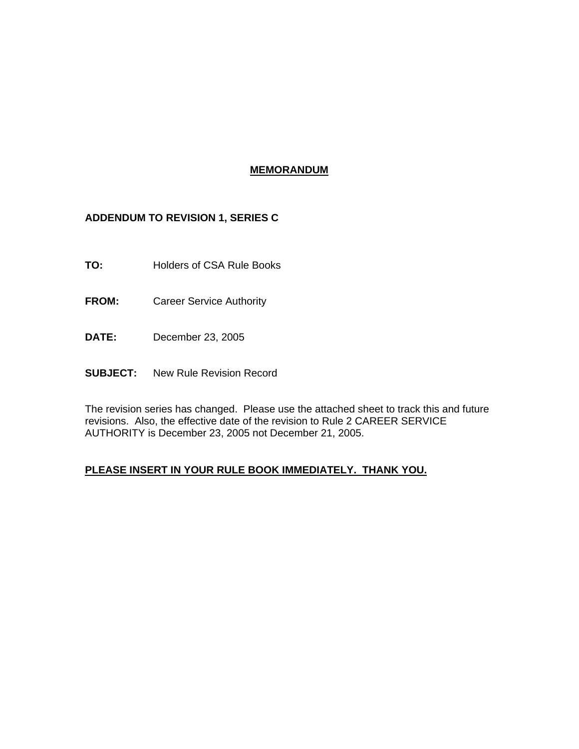## **MEMORANDUM**

## **ADDENDUM TO REVISION 1, SERIES C**

- **TO:** Holders of CSA Rule Books
- **FROM:** Career Service Authority
- **DATE:** December 23, 2005
- **SUBJECT:** New Rule Revision Record

The revision series has changed. Please use the attached sheet to track this and future revisions. Also, the effective date of the revision to Rule 2 CAREER SERVICE AUTHORITY is December 23, 2005 not December 21, 2005.

## **PLEASE INSERT IN YOUR RULE BOOK IMMEDIATELY. THANK YOU.**